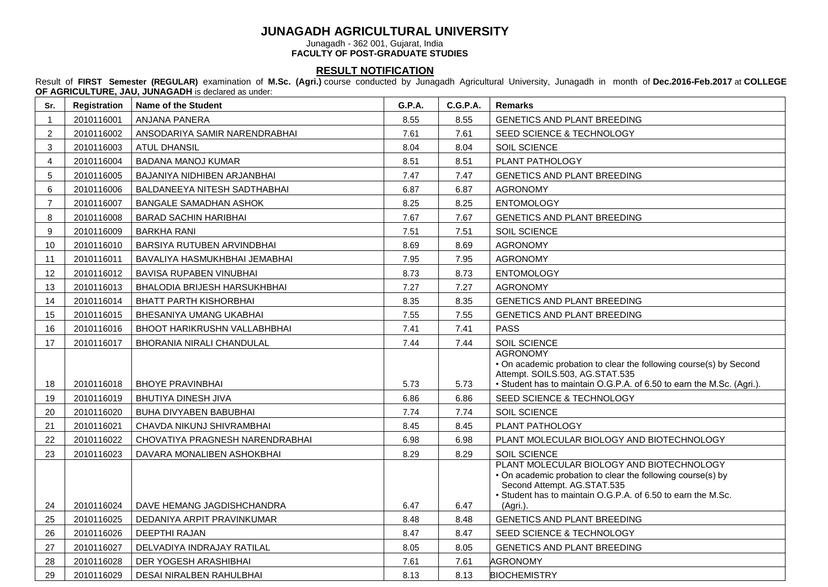## **JUNAGADH AGRICULTURAL UNIVERSITY**

Junagadh - 362 001, Gujarat, India

**FACULTY OF POST-GRADUATE STUDIES**

## **RESULT NOTIFICATION**

Result of **FIRST Semester (REGULAR)** examination of **M.Sc. (Agri.)** course conducted by Junagadh Agricultural University, Junagadh in month of **Dec.2016-Feb.2017** at **COLLEGE OF AGRICULTURE, JAU, JUNAGADH** is declared as under:

| Sr.            | Registration | Name of the Student                 | G.P.A. | <b>C.G.P.A.</b> | <b>Remarks</b>                                                                                                                                                                                                      |
|----------------|--------------|-------------------------------------|--------|-----------------|---------------------------------------------------------------------------------------------------------------------------------------------------------------------------------------------------------------------|
| $\mathbf{1}$   | 2010116001   | ANJANA PANERA                       | 8.55   | 8.55            | <b>GENETICS AND PLANT BREEDING</b>                                                                                                                                                                                  |
| $\overline{2}$ | 2010116002   | ANSODARIYA SAMIR NARENDRABHAI       | 7.61   | 7.61            | SEED SCIENCE & TECHNOLOGY                                                                                                                                                                                           |
| 3              | 2010116003   | <b>ATUL DHANSIL</b>                 | 8.04   | 8.04            | SOIL SCIENCE                                                                                                                                                                                                        |
| $\overline{4}$ | 2010116004   | <b>BADANA MANOJ KUMAR</b>           | 8.51   | 8.51            | PLANT PATHOLOGY                                                                                                                                                                                                     |
| 5              | 2010116005   | BAJANIYA NIDHIBEN ARJANBHAI         | 7.47   | 7.47            | <b>GENETICS AND PLANT BREEDING</b>                                                                                                                                                                                  |
| 6              | 2010116006   | BALDANEEYA NITESH SADTHABHAI        | 6.87   | 6.87            | <b>AGRONOMY</b>                                                                                                                                                                                                     |
| $\overline{7}$ | 2010116007   | <b>BANGALE SAMADHAN ASHOK</b>       | 8.25   | 8.25            | <b>ENTOMOLOGY</b>                                                                                                                                                                                                   |
| 8              | 2010116008   | <b>BARAD SACHIN HARIBHAI</b>        | 7.67   | 7.67            | <b>GENETICS AND PLANT BREEDING</b>                                                                                                                                                                                  |
| 9              | 2010116009   | <b>BARKHA RANI</b>                  | 7.51   | 7.51            | SOIL SCIENCE                                                                                                                                                                                                        |
| 10             | 2010116010   | BARSIYA RUTUBEN ARVINDBHAI          | 8.69   | 8.69            | <b>AGRONOMY</b>                                                                                                                                                                                                     |
| 11             | 2010116011   | BAVALIYA HASMUKHBHAI JEMABHAI       | 7.95   | 7.95            | <b>AGRONOMY</b>                                                                                                                                                                                                     |
| 12             | 2010116012   | BAVISA RUPABEN VINUBHAI             | 8.73   | 8.73            | <b>ENTOMOLOGY</b>                                                                                                                                                                                                   |
| 13             | 2010116013   | BHALODIA BRIJESH HARSUKHBHAI        | 7.27   | 7.27            | <b>AGRONOMY</b>                                                                                                                                                                                                     |
| 14             | 2010116014   | <b>BHATT PARTH KISHORBHAI</b>       | 8.35   | 8.35            | <b>GENETICS AND PLANT BREEDING</b>                                                                                                                                                                                  |
| 15             | 2010116015   | BHESANIYA UMANG UKABHAI             | 7.55   | 7.55            | <b>GENETICS AND PLANT BREEDING</b>                                                                                                                                                                                  |
| 16             | 2010116016   | <b>BHOOT HARIKRUSHN VALLABHBHAI</b> | 7.41   | 7.41            | <b>PASS</b>                                                                                                                                                                                                         |
| 17             | 2010116017   | <b>BHORANIA NIRALI CHANDULAL</b>    | 7.44   | 7.44            | SOIL SCIENCE                                                                                                                                                                                                        |
| 18             | 2010116018   | <b>BHOYE PRAVINBHAI</b>             | 5.73   | 5.73            | <b>AGRONOMY</b><br>• On academic probation to clear the following course(s) by Second<br>Attempt. SOILS.503, AG.STAT.535<br>• Student has to maintain O.G.P.A. of 6.50 to earn the M.Sc. (Agri.).                   |
| 19             | 2010116019   | <b>BHUTIYA DINESH JIVA</b>          | 6.86   | 6.86            | SEED SCIENCE & TECHNOLOGY                                                                                                                                                                                           |
| 20             | 2010116020   | <b>BUHA DIVYABEN BABUBHAI</b>       | 7.74   | 7.74            | SOIL SCIENCE                                                                                                                                                                                                        |
| 21             | 2010116021   | CHAVDA NIKUNJ SHIVRAMBHAI           | 8.45   | 8.45            | PLANT PATHOLOGY                                                                                                                                                                                                     |
| 22             | 2010116022   | CHOVATIYA PRAGNESH NARENDRABHAI     | 6.98   | 6.98            | PLANT MOLECULAR BIOLOGY AND BIOTECHNOLOGY                                                                                                                                                                           |
| 23             | 2010116023   | DAVARA MONALIBEN ASHOKBHAI          | 8.29   | 8.29            | SOIL SCIENCE                                                                                                                                                                                                        |
| 24             | 2010116024   | DAVE HEMANG JAGDISHCHANDRA          | 6.47   | 6.47            | PLANT MOLECULAR BIOLOGY AND BIOTECHNOLOGY<br>• On academic probation to clear the following course(s) by<br>Second Attempt. AG.STAT.535<br>• Student has to maintain O.G.P.A. of 6.50 to earn the M.Sc.<br>(Agri.). |
| 25             | 2010116025   | DEDANIYA ARPIT PRAVINKUMAR          | 8.48   | 8.48            | <b>GENETICS AND PLANT BREEDING</b>                                                                                                                                                                                  |
| 26             | 2010116026   | <b>DEEPTHI RAJAN</b>                | 8.47   | 8.47            | SEED SCIENCE & TECHNOLOGY                                                                                                                                                                                           |
| 27             | 2010116027   | DELVADIYA INDRAJAY RATILAL          | 8.05   | 8.05            | GENETICS AND PLANT BREEDING                                                                                                                                                                                         |
| 28             | 2010116028   | DER YOGESH ARASHIBHAI               | 7.61   | 7.61            | <b>AGRONOMY</b>                                                                                                                                                                                                     |
| 29             | 2010116029   | DESAI NIRALBEN RAHULBHAI            | 8.13   | 8.13            | <b>BIOCHEMISTRY</b>                                                                                                                                                                                                 |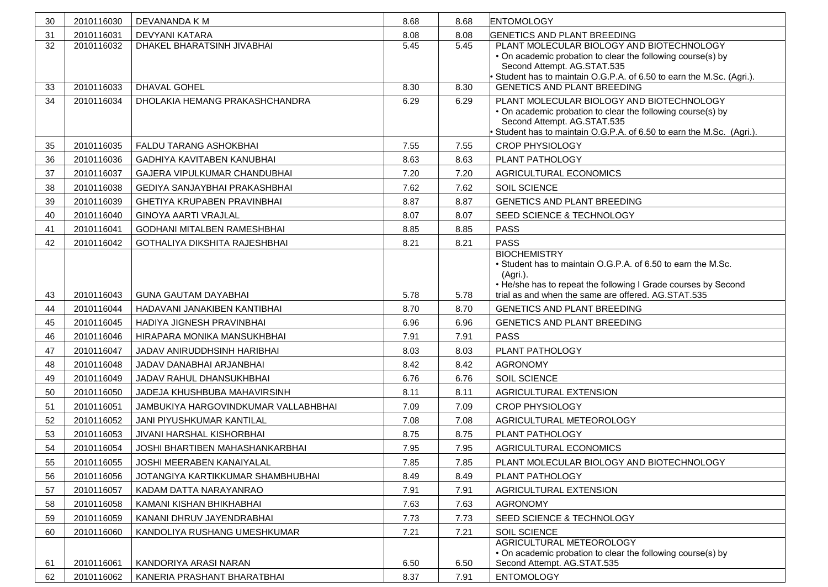| 30 | 2010116030 | DEVANANDA K M                         | 8.68 | 8.68 | <b>ENTOMOLOGY</b>                                                                                                                                                                                                        |
|----|------------|---------------------------------------|------|------|--------------------------------------------------------------------------------------------------------------------------------------------------------------------------------------------------------------------------|
| 31 | 2010116031 | <b>DEVYANI KATARA</b>                 | 8.08 | 8.08 | <b>GENETICS AND PLANT BREEDING</b>                                                                                                                                                                                       |
| 32 | 2010116032 | DHAKEL BHARATSINH JIVABHAI            | 5.45 | 5.45 | PLANT MOLECULAR BIOLOGY AND BIOTECHNOLOGY<br>• On academic probation to clear the following course(s) by<br>Second Attempt. AG.STAT.535                                                                                  |
|    |            |                                       |      |      | Student has to maintain O.G.P.A. of 6.50 to earn the M.Sc. (Agri.).                                                                                                                                                      |
| 33 | 2010116033 | <b>DHAVAL GOHEL</b>                   | 8.30 | 8.30 | <b>GENETICS AND PLANT BREEDING</b>                                                                                                                                                                                       |
| 34 | 2010116034 | <b>DHOLAKIA HEMANG PRAKASHCHANDRA</b> | 6.29 | 6.29 | PLANT MOLECULAR BIOLOGY AND BIOTECHNOLOGY<br>• On academic probation to clear the following course(s) by<br>Second Attempt. AG.STAT.535<br>Student has to maintain O.G.P.A. of 6.50 to earn the M.Sc. (Agri.).           |
| 35 | 2010116035 | FALDU TARANG ASHOKBHAI                | 7.55 | 7.55 | <b>CROP PHYSIOLOGY</b>                                                                                                                                                                                                   |
| 36 | 2010116036 | <b>GADHIYA KAVITABEN KANUBHAI</b>     | 8.63 | 8.63 | PLANT PATHOLOGY                                                                                                                                                                                                          |
| 37 | 2010116037 | GAJERA VIPULKUMAR CHANDUBHAI          | 7.20 | 7.20 | AGRICULTURAL ECONOMICS                                                                                                                                                                                                   |
| 38 | 2010116038 | <b>GEDIYA SANJAYBHAI PRAKASHBHAI</b>  | 7.62 | 7.62 | SOIL SCIENCE                                                                                                                                                                                                             |
| 39 | 2010116039 | GHETIYA KRUPABEN PRAVINBHAI           | 8.87 | 8.87 | GENETICS AND PLANT BREEDING                                                                                                                                                                                              |
| 40 | 2010116040 | <b>GINOYA AARTI VRAJLAL</b>           | 8.07 | 8.07 | SEED SCIENCE & TECHNOLOGY                                                                                                                                                                                                |
| 41 | 2010116041 | <b>GODHANI MITALBEN RAMESHBHAI</b>    | 8.85 | 8.85 | <b>PASS</b>                                                                                                                                                                                                              |
| 42 | 2010116042 | GOTHALIYA DIKSHITA RAJESHBHAI         | 8.21 | 8.21 | <b>PASS</b>                                                                                                                                                                                                              |
|    |            | <b>GUNA GAUTAM DAYABHAI</b>           |      |      | <b>BIOCHEMISTRY</b><br>• Student has to maintain O.G.P.A. of 6.50 to earn the M.Sc.<br>(Agri.).<br>• He/she has to repeat the following I Grade courses by Second<br>trial as and when the same are offered. AG.STAT.535 |
| 43 | 2010116043 |                                       | 5.78 | 5.78 |                                                                                                                                                                                                                          |
| 44 | 2010116044 | HADAVANI JANAKIBEN KANTIBHAI          | 8.70 | 8.70 | <b>GENETICS AND PLANT BREEDING</b>                                                                                                                                                                                       |
| 45 | 2010116045 | HADIYA JIGNESH PRAVINBHAI             | 6.96 | 6.96 | GENETICS AND PLANT BREEDING<br><b>PASS</b>                                                                                                                                                                               |
| 46 | 2010116046 | HIRAPARA MONIKA MANSUKHBHAI           | 7.91 | 7.91 |                                                                                                                                                                                                                          |
| 47 | 2010116047 | JADAV ANIRUDDHSINH HARIBHAI           | 8.03 | 8.03 | PLANT PATHOLOGY                                                                                                                                                                                                          |
| 48 | 2010116048 | JADAV DANABHAI ARJANBHAI              | 8.42 | 8.42 | <b>AGRONOMY</b>                                                                                                                                                                                                          |
| 49 | 2010116049 | JADAV RAHUL DHANSUKHBHAI              | 6.76 | 6.76 | SOIL SCIENCE                                                                                                                                                                                                             |
| 50 | 2010116050 | JADEJA KHUSHBUBA MAHAVIRSINH          | 8.11 | 8.11 | AGRICULTURAL EXTENSION                                                                                                                                                                                                   |
| 51 | 2010116051 | JAMBUKIYA HARGOVINDKUMAR VALLABHBHAI  | 7.09 | 7.09 | <b>CROP PHYSIOLOGY</b>                                                                                                                                                                                                   |
| 52 | 2010116052 | JANI PIYUSHKUMAR KANTILAL             | 7.08 | 7.08 | AGRICULTURAL METEOROLOGY                                                                                                                                                                                                 |
| 53 | 2010116053 | JIVANI HARSHAL KISHORBHAI             | 8.75 | 8.75 | PLANT PATHOLOGY                                                                                                                                                                                                          |
| 54 | 2010116054 | JOSHI BHARTIBEN MAHASHANKARBHAI       | 7.95 | 7.95 | AGRICULTURAL ECONOMICS                                                                                                                                                                                                   |
| 55 | 2010116055 | JOSHI MEERABEN KANAIYALAL             | 7.85 | 7.85 | PLANT MOLECULAR BIOLOGY AND BIOTECHNOLOGY                                                                                                                                                                                |
| 56 | 2010116056 | JOTANGIYA KARTIKKUMAR SHAMBHUBHAI     | 8.49 | 8.49 | PLANT PATHOLOGY                                                                                                                                                                                                          |
| 57 | 2010116057 | KADAM DATTA NARAYANRAO                | 7.91 | 7.91 | AGRICULTURAL EXTENSION                                                                                                                                                                                                   |
| 58 | 2010116058 | KAMANI KISHAN BHIKHABHAI              | 7.63 | 7.63 | <b>AGRONOMY</b>                                                                                                                                                                                                          |
| 59 | 2010116059 | KANANI DHRUV JAYENDRABHAI             | 7.73 | 7.73 | SEED SCIENCE & TECHNOLOGY                                                                                                                                                                                                |
| 60 | 2010116060 | KANDOLIYA RUSHANG UMESHKUMAR          | 7.21 | 7.21 | SOIL SCIENCE<br>AGRICULTURAL METEOROLOGY                                                                                                                                                                                 |
| 61 | 2010116061 | KANDORIYA ARASI NARAN                 | 6.50 | 6.50 | • On academic probation to clear the following course(s) by<br>Second Attempt. AG.STAT.535                                                                                                                               |
| 62 | 2010116062 | KANERIA PRASHANT BHARATBHAI           | 8.37 | 7.91 | <b>ENTOMOLOGY</b>                                                                                                                                                                                                        |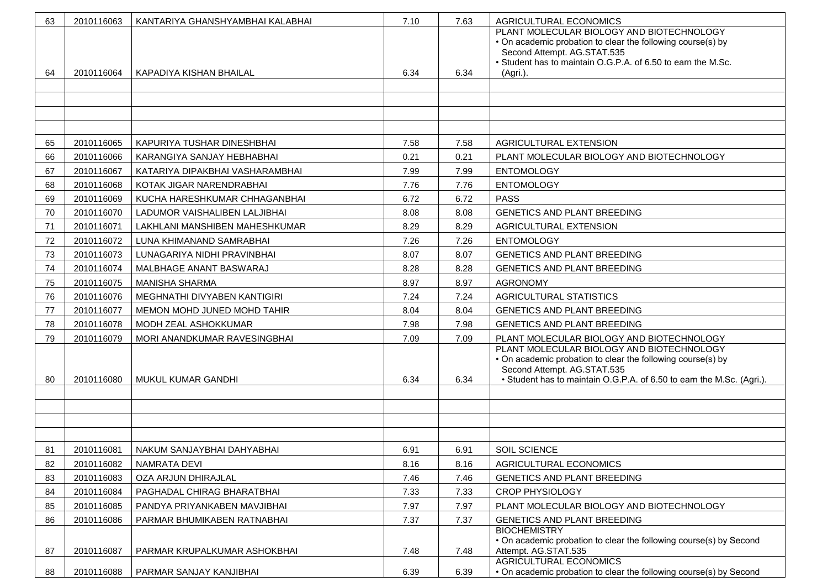| 63 | 2010116063 | KANTARIYA GHANSHYAMBHAI KALABHAI | 7.10 | 7.63 | AGRICULTURAL ECONOMICS                                                                                                                                                                                              |
|----|------------|----------------------------------|------|------|---------------------------------------------------------------------------------------------------------------------------------------------------------------------------------------------------------------------|
| 64 | 2010116064 | KAPADIYA KISHAN BHAILAL          | 6.34 | 6.34 | PLANT MOLECULAR BIOLOGY AND BIOTECHNOLOGY<br>• On academic probation to clear the following course(s) by<br>Second Attempt. AG.STAT.535<br>• Student has to maintain O.G.P.A. of 6.50 to earn the M.Sc.<br>(Agri.). |
|    |            |                                  |      |      |                                                                                                                                                                                                                     |
|    |            |                                  |      |      |                                                                                                                                                                                                                     |
|    |            |                                  |      |      |                                                                                                                                                                                                                     |
|    |            |                                  |      |      |                                                                                                                                                                                                                     |
| 65 | 2010116065 | KAPURIYA TUSHAR DINESHBHAI       | 7.58 | 7.58 | AGRICULTURAL EXTENSION                                                                                                                                                                                              |
| 66 | 2010116066 | KARANGIYA SANJAY HEBHABHAI       | 0.21 | 0.21 | PLANT MOLECULAR BIOLOGY AND BIOTECHNOLOGY                                                                                                                                                                           |
| 67 | 2010116067 | KATARIYA DIPAKBHAI VASHARAMBHAI  | 7.99 | 7.99 | <b>ENTOMOLOGY</b>                                                                                                                                                                                                   |
| 68 | 2010116068 | KOTAK JIGAR NARENDRABHAI         | 7.76 | 7.76 | <b>ENTOMOLOGY</b>                                                                                                                                                                                                   |
| 69 | 2010116069 | KUCHA HARESHKUMAR CHHAGANBHAI    | 6.72 | 6.72 | <b>PASS</b>                                                                                                                                                                                                         |
| 70 | 2010116070 | LADUMOR VAISHALIBEN LALJIBHAI    | 8.08 | 8.08 | <b>GENETICS AND PLANT BREEDING</b>                                                                                                                                                                                  |
| 71 | 2010116071 | LAKHLANI MANSHIBEN MAHESHKUMAR   | 8.29 | 8.29 | AGRICULTURAL EXTENSION                                                                                                                                                                                              |
| 72 | 2010116072 | LUNA KHIMANAND SAMRABHAI         | 7.26 | 7.26 | <b>ENTOMOLOGY</b>                                                                                                                                                                                                   |
| 73 | 2010116073 | LUNAGARIYA NIDHI PRAVINBHAI      | 8.07 | 8.07 | <b>GENETICS AND PLANT BREEDING</b>                                                                                                                                                                                  |
| 74 | 2010116074 | MALBHAGE ANANT BASWARAJ          | 8.28 | 8.28 | GENETICS AND PLANT BREEDING                                                                                                                                                                                         |
| 75 | 2010116075 | <b>MANISHA SHARMA</b>            | 8.97 | 8.97 | <b>AGRONOMY</b>                                                                                                                                                                                                     |
| 76 | 2010116076 | MEGHNATHI DIVYABEN KANTIGIRI     | 7.24 | 7.24 | AGRICULTURAL STATISTICS                                                                                                                                                                                             |
| 77 | 2010116077 | MEMON MOHD JUNED MOHD TAHIR      | 8.04 | 8.04 | <b>GENETICS AND PLANT BREEDING</b>                                                                                                                                                                                  |
| 78 | 2010116078 | MODH ZEAL ASHOKKUMAR             | 7.98 | 7.98 | <b>GENETICS AND PLANT BREEDING</b>                                                                                                                                                                                  |
| 79 | 2010116079 | MORI ANANDKUMAR RAVESINGBHAI     | 7.09 | 7.09 | PLANT MOLECULAR BIOLOGY AND BIOTECHNOLOGY                                                                                                                                                                           |
| 80 | 2010116080 | MUKUL KUMAR GANDHI               | 6.34 | 6.34 | PLANT MOLECULAR BIOLOGY AND BIOTECHNOLOGY<br>• On academic probation to clear the following course(s) by<br>Second Attempt. AG.STAT.535<br>• Student has to maintain O.G.P.A. of 6.50 to earn the M.Sc. (Agri.).    |
|    |            |                                  |      |      |                                                                                                                                                                                                                     |
|    |            |                                  |      |      |                                                                                                                                                                                                                     |
|    |            |                                  |      |      |                                                                                                                                                                                                                     |
| 81 | 2010116081 | NAKUM SANJAYBHAI DAHYABHAI       | 6.91 | 6.91 | SOIL SCIENCE                                                                                                                                                                                                        |
| 82 | 2010116082 | NAMRATA DEVI                     | 8.16 | 8.16 | AGRICULTURAL ECONOMICS                                                                                                                                                                                              |
| 83 | 2010116083 | OZA ARJUN DHIRAJLAL              | 7.46 | 7.46 | GENETICS AND PLANT BREEDING                                                                                                                                                                                         |
| 84 | 2010116084 | PAGHADAL CHIRAG BHARATBHAI       | 7.33 | 7.33 | <b>CROP PHYSIOLOGY</b>                                                                                                                                                                                              |
| 85 | 2010116085 | PANDYA PRIYANKABEN MAVJIBHAI     | 7.97 | 7.97 | PLANT MOLECULAR BIOLOGY AND BIOTECHNOLOGY                                                                                                                                                                           |
| 86 | 2010116086 | PARMAR BHUMIKABEN RATNABHAI      | 7.37 | 7.37 | GENETICS AND PLANT BREEDING                                                                                                                                                                                         |
|    |            |                                  |      |      | <b>BIOCHEMISTRY</b>                                                                                                                                                                                                 |
| 87 | 2010116087 | PARMAR KRUPALKUMAR ASHOKBHAI     | 7.48 | 7.48 | . On academic probation to clear the following course(s) by Second<br>Attempt. AG.STAT.535<br>AGRICULTURAL ECONOMICS                                                                                                |
| 88 | 2010116088 | PARMAR SANJAY KANJIBHAI          | 6.39 | 6.39 | • On academic probation to clear the following course(s) by Second                                                                                                                                                  |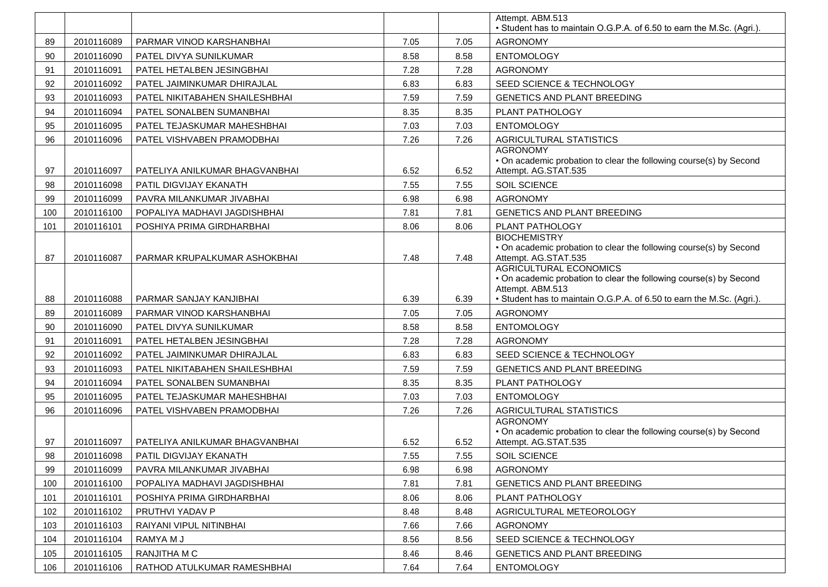|     |            |                                |      |      | Attempt. ABM.513                                                                                                                                   |
|-----|------------|--------------------------------|------|------|----------------------------------------------------------------------------------------------------------------------------------------------------|
|     |            |                                |      |      | • Student has to maintain O.G.P.A. of 6.50 to earn the M.Sc. (Agri.).                                                                              |
| 89  | 2010116089 | PARMAR VINOD KARSHANBHAI       | 7.05 | 7.05 | <b>AGRONOMY</b>                                                                                                                                    |
| 90  | 2010116090 | PATEL DIVYA SUNILKUMAR         | 8.58 | 8.58 | <b>ENTOMOLOGY</b>                                                                                                                                  |
| 91  | 2010116091 | PATEL HETALBEN JESINGBHAI      | 7.28 | 7.28 | <b>AGRONOMY</b>                                                                                                                                    |
| 92  | 2010116092 | PATEL JAIMINKUMAR DHIRAJLAL    | 6.83 | 6.83 | SEED SCIENCE & TECHNOLOGY                                                                                                                          |
| 93  | 2010116093 | PATEL NIKITABAHEN SHAILESHBHAI | 7.59 | 7.59 | GENETICS AND PLANT BREEDING                                                                                                                        |
| 94  | 2010116094 | PATEL SONALBEN SUMANBHAI       | 8.35 | 8.35 | PLANT PATHOLOGY                                                                                                                                    |
| 95  | 2010116095 | PATEL TEJASKUMAR MAHESHBHAI    | 7.03 | 7.03 | <b>ENTOMOLOGY</b>                                                                                                                                  |
| 96  | 2010116096 | PATEL VISHVABEN PRAMODBHAI     | 7.26 | 7.26 | AGRICULTURAL STATISTICS                                                                                                                            |
| 97  | 2010116097 | PATELIYA ANILKUMAR BHAGVANBHAI | 6.52 | 6.52 | <b>AGRONOMY</b><br>• On academic probation to clear the following course(s) by Second<br>Attempt. AG.STAT.535                                      |
| 98  | 2010116098 | PATIL DIGVIJAY EKANATH         | 7.55 | 7.55 | SOIL SCIENCE                                                                                                                                       |
| 99  | 2010116099 | PAVRA MILANKUMAR JIVABHAI      | 6.98 | 6.98 | <b>AGRONOMY</b>                                                                                                                                    |
| 100 | 2010116100 | POPALIYA MADHAVI JAGDISHBHAI   | 7.81 | 7.81 | <b>GENETICS AND PLANT BREEDING</b>                                                                                                                 |
| 101 | 2010116101 | POSHIYA PRIMA GIRDHARBHAI      | 8.06 | 8.06 | PLANT PATHOLOGY                                                                                                                                    |
| 87  | 2010116087 | PARMAR KRUPALKUMAR ASHOKBHAI   | 7.48 | 7.48 | <b>BIOCHEMISTRY</b><br>• On academic probation to clear the following course(s) by Second<br>Attempt. AG.STAT.535<br><b>AGRICULTURAL ECONOMICS</b> |
|     |            |                                |      |      | • On academic probation to clear the following course(s) by Second<br>Attempt. ABM.513                                                             |
| 88  | 2010116088 | PARMAR SANJAY KANJIBHAI        | 6.39 | 6.39 | • Student has to maintain O.G.P.A. of 6.50 to earn the M.Sc. (Agri.).                                                                              |
| 89  | 2010116089 | PARMAR VINOD KARSHANBHAI       | 7.05 | 7.05 | <b>AGRONOMY</b>                                                                                                                                    |
| 90  | 2010116090 | PATEL DIVYA SUNILKUMAR         | 8.58 | 8.58 | <b>ENTOMOLOGY</b>                                                                                                                                  |
| 91  | 2010116091 | PATEL HETALBEN JESINGBHAI      | 7.28 | 7.28 | <b>AGRONOMY</b>                                                                                                                                    |
| 92  | 2010116092 | PATEL JAIMINKUMAR DHIRAJLAL    | 6.83 | 6.83 | SEED SCIENCE & TECHNOLOGY                                                                                                                          |
| 93  | 2010116093 | PATEL NIKITABAHEN SHAILESHBHAI | 7.59 | 7.59 | GENETICS AND PLANT BREEDING                                                                                                                        |
| 94  | 2010116094 | PATEL SONALBEN SUMANBHAI       | 8.35 | 8.35 | PLANT PATHOLOGY                                                                                                                                    |
| 95  | 2010116095 | PATEL TEJASKUMAR MAHESHBHAI    | 7.03 | 7.03 | <b>ENTOMOLOGY</b>                                                                                                                                  |
| 96  | 2010116096 | PATEL VISHVABEN PRAMODBHAI     | 7.26 | 7.26 | <b>AGRICULTURAL STATISTICS</b><br><b>AGRONOMY</b>                                                                                                  |
| 97  | 2010116097 | PATELIYA ANILKUMAR BHAGVANBHAI | 6.52 | 6.52 | • On academic probation to clear the following course(s) by Second<br>Attempt. AG.STAT.535                                                         |
| 98  | 2010116098 | PATIL DIGVIJAY EKANATH         | 7.55 | 7.55 | SOIL SCIENCE                                                                                                                                       |
| 99  | 2010116099 | PAVRA MILANKUMAR JIVABHAI      | 6.98 | 6.98 | <b>AGRONOMY</b>                                                                                                                                    |
| 100 | 2010116100 | POPALIYA MADHAVI JAGDISHBHAI   | 7.81 | 7.81 | GENETICS AND PLANT BREEDING                                                                                                                        |
| 101 | 2010116101 | POSHIYA PRIMA GIRDHARBHAI      | 8.06 | 8.06 | PLANT PATHOLOGY                                                                                                                                    |
| 102 | 2010116102 | PRUTHVI YADAV P                | 8.48 | 8.48 | AGRICULTURAL METEOROLOGY                                                                                                                           |
| 103 | 2010116103 | RAIYANI VIPUL NITINBHAI        | 7.66 | 7.66 | <b>AGRONOMY</b>                                                                                                                                    |
| 104 | 2010116104 | RAMYA M J                      | 8.56 | 8.56 | SEED SCIENCE & TECHNOLOGY                                                                                                                          |
| 105 | 2010116105 | RANJITHA M C                   | 8.46 | 8.46 | <b>GENETICS AND PLANT BREEDING</b>                                                                                                                 |
| 106 | 2010116106 | RATHOD ATULKUMAR RAMESHBHAI    | 7.64 | 7.64 | <b>ENTOMOLOGY</b>                                                                                                                                  |